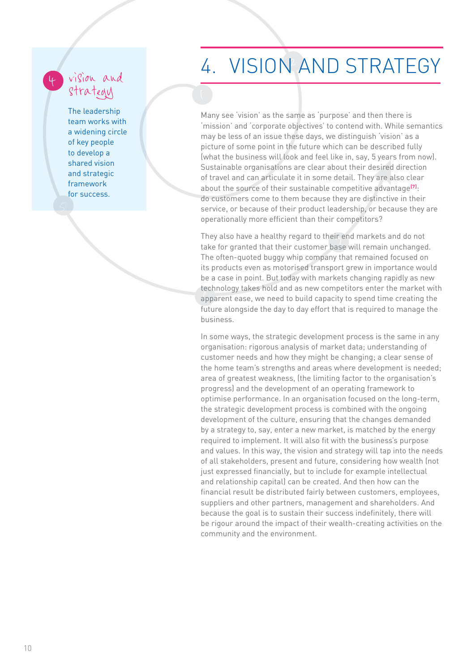## vision and strategy

4

The leadership team works with a widening circle of key people to develop a shared vision and strategic framework for success.

## 4. VISION AND STRATEGY

Many see 'vision' as the same as 'purpose' and then there is 'mission' and 'corporate objectives' to contend with. While semantics may be less of an issue these days, we distinguish 'vision' as a picture of some point in the future which can be described fully (what the business will look and feel like in, say, 5 years from now). Sustainable organisations are clear about their desired direction of travel and can articulate it in some detail. They are also clear about the source of their sustainable competitive advantage<sup>[7]</sup>: do customers come to them because they are distinctive in their service, or because of their product leadership, or because they are operationally more efficient than their competitors?

detinology takes note and as new competitors effect the market with They also have a healthy regard to their end markets and do not They also have a healthy regard to their end markets and do not The often-quoted buggy whip company that remained focused on its products even as motorised transport grew in importance would be a case in point. But today with markets changing rapidly as new technology takes hold and as new competitors enter the market with future alongside the day to day effort that is required to manage the business.

In some ways, the strategic development process is the same in any organisation: rigorous analysis of market data; understanding of customer needs and how they might be changing; a clear sense of the home team's strengths and areas where development is needed; area of greatest weakness, (the limiting factor to the organisation's progress) and the development of an operating framework to optimise performance. In an organisation focused on the long-term, the strategic development process is combined with the ongoing development of the culture, ensuring that the changes demanded by a strategy to, say, enter a new market, is matched by the energy required to implement. It will also fit with the business's purpose and values. In this way, the vision and strategy will tap into the needs of all stakeholders, present and future, considering how wealth (not just expressed financially, but to include for example intellectual and relationship capital) can be created. And then how can the financial result be distributed fairly between customers, employees, suppliers and other partners, management and shareholders. And because the goal is to sustain their success indefinitely, there will be rigour around the impact of their wealth-creating activities on the community and the environment.